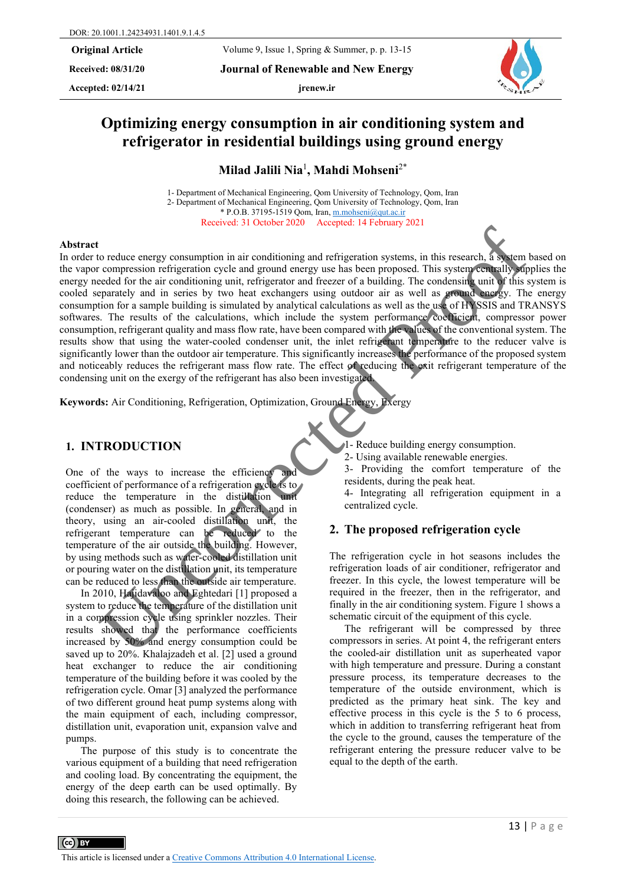**Received: 08/31/20 Journal of Renewable and New Energy**

Accepted:  $02/14/21$  **jrenew.ir** 



# **Optimizing energy consumption in air conditioning system and refrigerator in residential buildings using ground energy**

**Milad Jalili Nia**<sup>1</sup> **, Mahdi Mohseni**2\*

1- Department of Mechanical Engineering, Qom University of Technology, Qom, Iran 2- Department of Mechanical Engineering, Qom University of Technology, Qom, Iran \* P.O.B. 37195-1519 Qom, Iran[, m.mohseni@qut.ac.ir](mailto:m.mohseni@qut.ac.ir) Received: 31 October 2020 Accepted: 14 February 2021

#### **Abstract**

In order to reduce energy consumption in air conditioning and refrigeration systems, in this research, a system based on the vapor compression refrigeration cycle and ground energy use has been proposed. This system centrally supplies the energy needed for the air conditioning unit, refrigerator and freezer of a building. The condensing unit of this system is cooled separately and in series by two heat exchangers using outdoor air as well as ground energy. The energy consumption for a sample building is simulated by analytical calculations as well as the use of HYSSIS and TRANSYS softwares. The results of the calculations, which include the system performance coefficient, compressor power consumption, refrigerant quality and mass flow rate, have been compared with the values of the conventional system. The results show that using the water-cooled condenser unit, the inlet refrigerant temperature to the reducer valve is significantly lower than the outdoor air temperature. This significantly increases the performance of the proposed system and noticeably reduces the refrigerant mass flow rate. The effect of reducing the exit refrigerant temperature of the condensing unit on the exergy of the refrigerant has also been investigated. The content of the strength of the strength of the content of the content of the content of the strength of the strength of the strength of the strength of the strength of the strength of the strength of the strength of th

**Keywords:** Air Conditioning, Refrigeration, Optimization, Ground Energy, Exergy

### **1. INTRODUCTION**

One of the ways to increase the efficiency and coefficient of performance of a refrigeration cycle is to reduce the temperature in the distillation unit (condenser) as much as possible. In general, and in theory, using an air-cooled distillation unit, the refrigerant temperature can be reduced to the temperature of the air outside the building. However, by using methods such as water-cooled distillation unit or pouring water on the distillation unit, its temperature can be reduced to less than the outside air temperature.

In 2010, Hajidavaloo and Eghtedari [1] proposed a system to reduce the temperature of the distillation unit in a compression cycle using sprinkler nozzles. Their results showed that the performance coefficients increased by 50% and energy consumption could be saved up to 20%. Khalajzadeh et al. [2] used a ground heat exchanger to reduce the air conditioning temperature of the building before it was cooled by the refrigeration cycle. Omar [3] analyzed the performance of two different ground heat pump systems along with the main equipment of each, including compressor, distillation unit, evaporation unit, expansion valve and pumps.

The purpose of this study is to concentrate the various equipment of a building that need refrigeration and cooling load. By concentrating the equipment, the energy of the deep earth can be used optimally. By doing this research, the following can be achieved.

1- Reduce building energy consumption.

2- Using available renewable energies.

3- Providing the comfort temperature of the residents, during the peak heat.

4- Integrating all refrigeration equipment in a centralized cycle.

#### **2. The proposed refrigeration cycle**

The refrigeration cycle in hot seasons includes the refrigeration loads of air conditioner, refrigerator and freezer. In this cycle, the lowest temperature will be required in the freezer, then in the refrigerator, and finally in the air conditioning system. Figure 1 shows a schematic circuit of the equipment of this cycle.

The refrigerant will be compressed by three compressors in series. At point 4, the refrigerant enters the cooled-air distillation unit as superheated vapor with high temperature and pressure. During a constant pressure process, its temperature decreases to the temperature of the outside environment, which is predicted as the primary heat sink. The key and effective process in this cycle is the 5 to 6 process, which in addition to transferring refrigerant heat from the cycle to the ground, causes the temperature of the refrigerant entering the pressure reducer valve to be equal to the depth of the earth.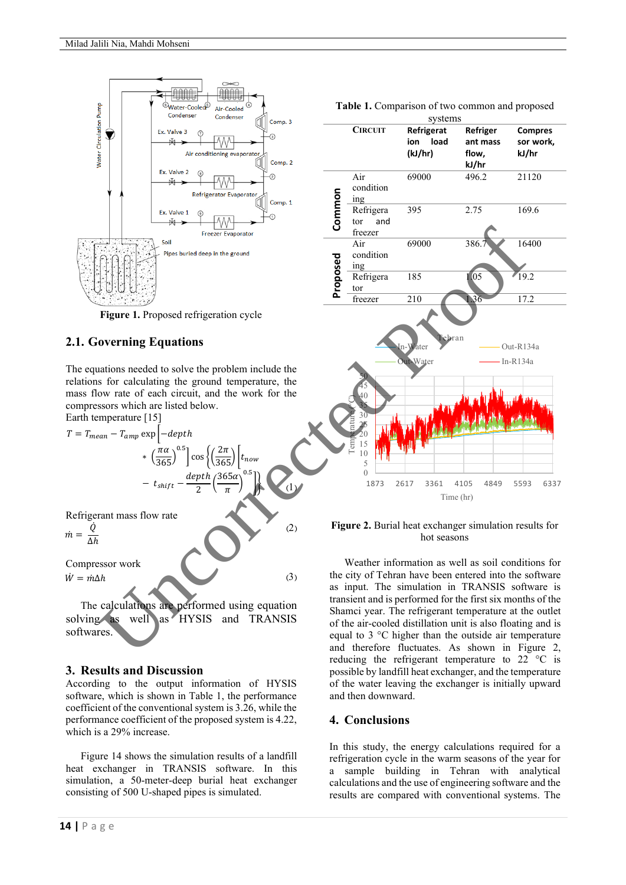

**Figure 1.** Proposed refrigeration cycle

# **2.1. Governing Equations**

The equations needed to solve the problem include the relations for calculating the ground temperature, the mass flow rate of each circuit, and the work for the compressors which are listed below. Earth temperature [15]

$$
T = T_{mean} - T_{amp} \exp \left[-\frac{depth}{365}\right]
$$
  
\n
$$
r = T_{mean} - T_{amp} \exp \left[-\frac{depth}{365}\right]
$$
  
\n
$$
r = \frac{\left(\frac{\pi a}{365}\right)^{0.5} \cos \left(\frac{2\pi}{365}\right) t_{now}
$$
  
\n
$$
- t_{shift} - \frac{depth}{2} \left(\frac{365\alpha}{\pi}\right)^{0.5} \right]
$$
  
\nRefrigerant mass flow rate  
\n
$$
\dot{m} = \frac{\dot{Q}}{\Delta h}
$$
  
\nCompressor work  
\n
$$
\dot{W} = m\Delta h
$$
\n(3)

The calculations are performed using equation solving as well as HYSIS and TRANSIS softwares.

# **3. Results and Discussion**

According to the output information of HYSIS software, which is shown in Table 1, the performance coefficient of the conventional system is 3.26, while the performance coefficient of the proposed system is 4.22, which is a 29% increase.

Figure 14 shows the simulation results of a landfill heat exchanger in TRANSIS software. In this simulation, a 50-meter-deep burial heat exchanger consisting of 500 U-shaped pipes is simulated.

**Table 1.** Comparison of two common and proposed



**Figure 2.** Burial heat exchanger simulation results for hot seasons

Weather information as well as soil conditions for the city of Tehran have been entered into the software as input. The simulation in TRANSIS software is transient and is performed for the first six months of the Shamci year. The refrigerant temperature at the outlet of the air-cooled distillation unit is also floating and is equal to 3 °C higher than the outside air temperature and therefore fluctuates. As shown in Figure 2, reducing the refrigerant temperature to 22 °C is possible by landfill heat exchanger, and the temperature of the water leaving the exchanger is initially upward and then downward.

# **4. Conclusions**

In this study, the energy calculations required for a refrigeration cycle in the warm seasons of the year for a sample building in Tehran with analytical calculations and the use of engineering software and the results are compared with conventional systems. The